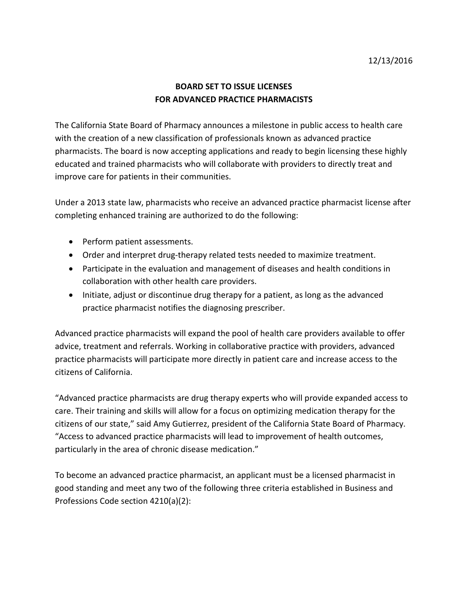## **BOARD SET TO ISSUE LICENSES FOR ADVANCED PRACTICE PHARMACISTS**

The California State Board of Pharmacy announces a milestone in public access to health care with the creation of a new classification of professionals known as advanced practice pharmacists. The board is now accepting applications and ready to begin licensing these highly educated and trained pharmacists who will collaborate with providers to directly treat and improve care for patients in their communities.

 Under a 2013 state law, pharmacists who receive an advanced practice pharmacist license after completing enhanced training are authorized to do the following:

- Perform patient assessments.
- Order and interpret drug-therapy related tests needed to maximize treatment.
- Participate in the evaluation and management of diseases and health conditions in collaboration with other health care providers.
- practice pharmacist notifies the diagnosing prescriber. • Initiate, adjust or discontinue drug therapy for a patient, as long as the advanced

 Advanced practice pharmacists will expand the pool of health care providers available to offer advice, treatment and referrals. Working in collaborative practice with providers, advanced practice pharmacists will participate more directly in patient care and increase access to the citizens of California.

 "Advanced practice pharmacists are drug therapy experts who will provide expanded access to citizens of our state," said Amy Gutierrez, president of the California State Board of Pharmacy. "Access to advanced practice pharmacists will lead to improvement of health outcomes, care. Their training and skills will allow for a focus on optimizing medication therapy for the particularly in the area of chronic disease medication."

 good standing and meet any two of the following three criteria established in Business and To become an advanced practice pharmacist, an applicant must be a licensed pharmacist in Professions Code section 4210(a)(2):